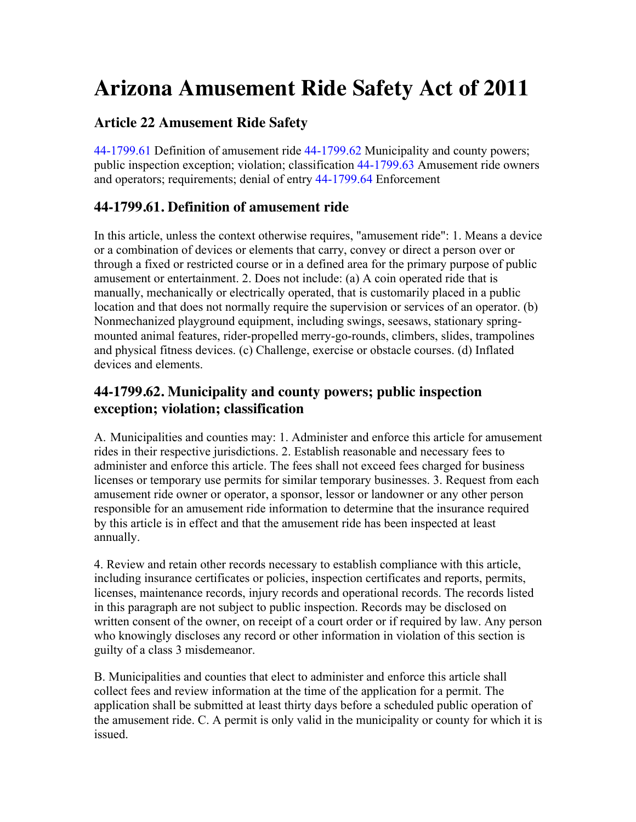# **Arizona Amusement Ride Safety Act of 2011**

## **Article 22 Amusement Ride Safety**

44-1799.61 Definition of amusement ride 44-1799.62 Municipality and county powers; public inspection exception; violation; classification 44-1799.63 Amusement ride owners and operators; requirements; denial of entry 44-1799.64 Enforcement

## **44-1799.61. Definition of amusement ride**

In this article, unless the context otherwise requires, "amusement ride": 1. Means a device or a combination of devices or elements that carry, convey or direct a person over or through a fixed or restricted course or in a defined area for the primary purpose of public amusement or entertainment. 2. Does not include: (a) A coin operated ride that is manually, mechanically or electrically operated, that is customarily placed in a public location and that does not normally require the supervision or services of an operator. (b) Nonmechanized playground equipment, including swings, seesaws, stationary springmounted animal features, rider-propelled merry-go-rounds, climbers, slides, trampolines and physical fitness devices. (c) Challenge, exercise or obstacle courses. (d) Inflated devices and elements.

### **44-1799.62. Municipality and county powers; public inspection exception; violation; classification**

A. Municipalities and counties may: 1. Administer and enforce this article for amusement rides in their respective jurisdictions. 2. Establish reasonable and necessary fees to administer and enforce this article. The fees shall not exceed fees charged for business licenses or temporary use permits for similar temporary businesses. 3. Request from each amusement ride owner or operator, a sponsor, lessor or landowner or any other person responsible for an amusement ride information to determine that the insurance required by this article is in effect and that the amusement ride has been inspected at least annually.

4. Review and retain other records necessary to establish compliance with this article, including insurance certificates or policies, inspection certificates and reports, permits, licenses, maintenance records, injury records and operational records. The records listed in this paragraph are not subject to public inspection. Records may be disclosed on written consent of the owner, on receipt of a court order or if required by law. Any person who knowingly discloses any record or other information in violation of this section is guilty of a class 3 misdemeanor.

B. Municipalities and counties that elect to administer and enforce this article shall collect fees and review information at the time of the application for a permit. The application shall be submitted at least thirty days before a scheduled public operation of the amusement ride. C. A permit is only valid in the municipality or county for which it is issued.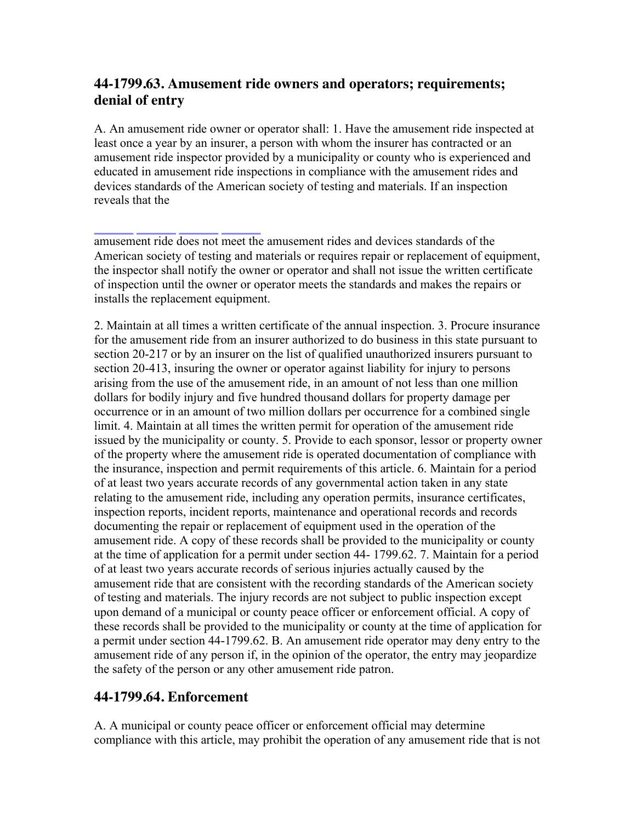## **44-1799.63. Amusement ride owners and operators; requirements; denial of entry**

A. An amusement ride owner or operator shall: 1. Have the amusement ride inspected at least once a year by an insurer, a person with whom the insurer has contracted or an amusement ride inspector provided by a municipality or county who is experienced and educated in amusement ride inspections in compliance with the amusement rides and devices standards of the American society of testing and materials. If an inspection reveals that the

amusement ride does not meet the amusement rides and devices standards of the American society of testing and materials or requires repair or replacement of equipment, the inspector shall notify the owner or operator and shall not issue the written certificate of inspection until the owner or operator meets the standards and makes the repairs or installs the replacement equipment.

2. Maintain at all times a written certificate of the annual inspection. 3. Procure insurance for the amusement ride from an insurer authorized to do business in this state pursuant to section 20-217 or by an insurer on the list of qualified unauthorized insurers pursuant to section 20-413, insuring the owner or operator against liability for injury to persons arising from the use of the amusement ride, in an amount of not less than one million dollars for bodily injury and five hundred thousand dollars for property damage per occurrence or in an amount of two million dollars per occurrence for a combined single limit. 4. Maintain at all times the written permit for operation of the amusement ride issued by the municipality or county. 5. Provide to each sponsor, lessor or property owner of the property where the amusement ride is operated documentation of compliance with the insurance, inspection and permit requirements of this article. 6. Maintain for a period of at least two years accurate records of any governmental action taken in any state relating to the amusement ride, including any operation permits, insurance certificates, inspection reports, incident reports, maintenance and operational records and records documenting the repair or replacement of equipment used in the operation of the amusement ride. A copy of these records shall be provided to the municipality or county at the time of application for a permit under section 44- 1799.62. 7. Maintain for a period of at least two years accurate records of serious injuries actually caused by the amusement ride that are consistent with the recording standards of the American society of testing and materials. The injury records are not subject to public inspection except upon demand of a municipal or county peace officer or enforcement official. A copy of these records shall be provided to the municipality or county at the time of application for a permit under section 44-1799.62. B. An amusement ride operator may deny entry to the amusement ride of any person if, in the opinion of the operator, the entry may jeopardize the safety of the person or any other amusement ride patron.

#### **44-1799.64. Enforcement**

A. A municipal or county peace officer or enforcement official may determine compliance with this article, may prohibit the operation of any amusement ride that is not